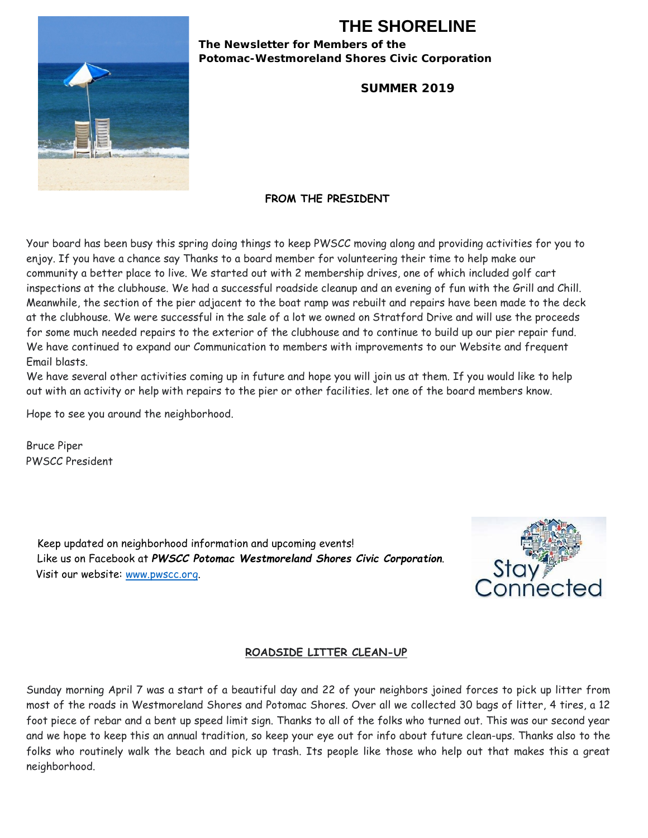# **THE SHORELINE**

**The Newsletter for Members of the Potomac-Westmoreland Shores Civic Corporation** 

**SUMMER 2019** 



#### **FROM THE PRESIDENT**

Your board has been busy this spring doing things to keep PWSCC moving along and providing activities for you to enjoy. If you have a chance say Thanks to a board member for volunteering their time to help make our community a better place to live. We started out with 2 membership drives, one of which included golf cart inspections at the clubhouse. We had a successful roadside cleanup and an evening of fun with the Grill and Chill. Meanwhile, the section of the pier adjacent to the boat ramp was rebuilt and repairs have been made to the deck at the clubhouse. We were successful in the sale of a lot we owned on Stratford Drive and will use the proceeds for some much needed repairs to the exterior of the clubhouse and to continue to build up our pier repair fund. We have continued to expand our Communication to members with improvements to our Website and frequent Email blasts.

We have several other activities coming up in future and hope you will join us at them. If you would like to help out with an activity or help with repairs to the pier or other facilities. let one of the board members know.

Hope to see you around the neighborhood.

Bruce Piper PWSCC President

> Keep updated on neighborhood information and upcoming events! Like us on Facebook at *PWSCC Potomac Westmoreland Shores Civic Corporation*. Visit our website: [www.pwscc.org.](http://www.pwscc.org/)



#### **ROADSIDE LITTER CLEAN-UP**

Sunday morning April 7 was a start of a beautiful day and 22 of your neighbors joined forces to pick up litter from most of the roads in Westmoreland Shores and Potomac Shores. Over all we collected 30 bags of litter, 4 tires, a 12 foot piece of rebar and a bent up speed limit sign. Thanks to all of the folks who turned out. This was our second year and we hope to keep this an annual tradition, so keep your eye out for info about future clean-ups. Thanks also to the folks who routinely walk the beach and pick up trash. Its people like those who help out that makes this a great neighborhood.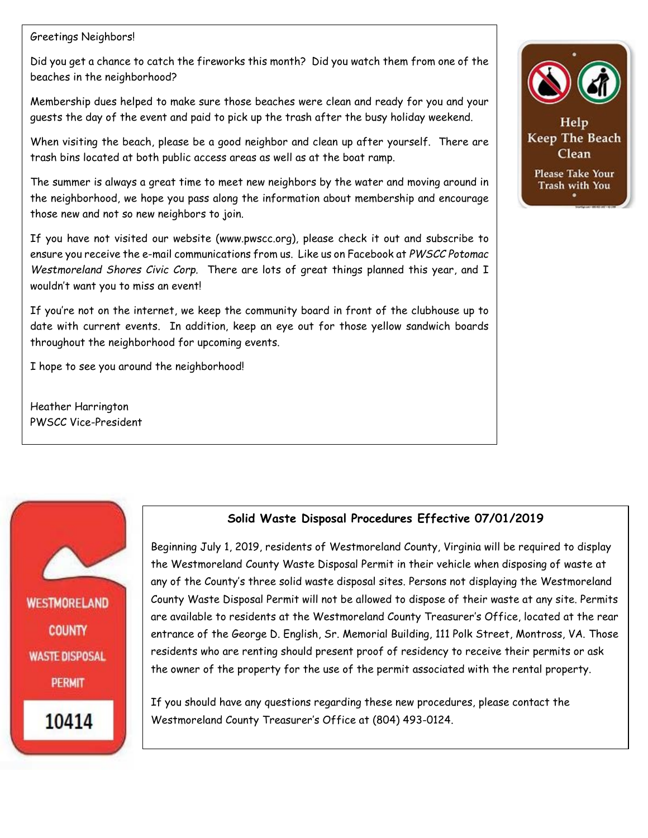#### Greetings Neighbors!

Did you get a chance to catch the fireworks this month? Did you watch them from one of the beaches in the neighborhood?

Membership dues helped to make sure those beaches were clean and ready for you and your guests the day of the event and paid to pick up the trash after the busy holiday weekend.

When visiting the beach, please be a good neighbor and clean up after yourself. There are trash bins located at both public access areas as well as at the boat ramp.

The summer is always a great time to meet new neighbors by the water and moving around in the neighborhood, we hope you pass along the information about membership and encourage those new and not so new neighbors to join.

If you have not visited our website (www.pwscc.org), please check it out and subscribe to ensure you receive the e-mail communications from us. Like us on Facebook at *PWSCC Potomac Westmoreland Shores Civic Corp.* There are lots of great things planned this year, and I wouldn't want you to miss an event!

If you're not on the internet, we keep the community board in front of the clubhouse up to date with current events. In addition, keep an eye out for those yellow sandwich boards throughout the neighborhood for upcoming events.

I hope to see you around the neighborhood!

Heather Harrington PWSCC Vice-President



Help Keep The Beach Clean **Please Take Your** Trash with You

# **Solid Waste Disposal Procedures Effective 07/01/2019**

**WESTMORELAND COUNTY WASTE DISPOSAL PERMIT** 10414

Beginning July 1, 2019, residents of Westmoreland County, Virginia will be required to display the Westmoreland County Waste Disposal Permit in their vehicle when disposing of waste at any of the County's three solid waste disposal sites. Persons not displaying the Westmoreland County Waste Disposal Permit will not be allowed to dispose of their waste at any site. Permits are available to residents at the Westmoreland County Treasurer's Office, located at the rear entrance of the George D. English, Sr. Memorial Building, 111 Polk Street, Montross, VA. Those residents who are renting should present proof of residency to receive their permits or ask the owner of the property for the use of the permit associated with the rental property.

If you should have any questions regarding these new procedures, please contact the Westmoreland County Treasurer's Office at (804) 493-0124.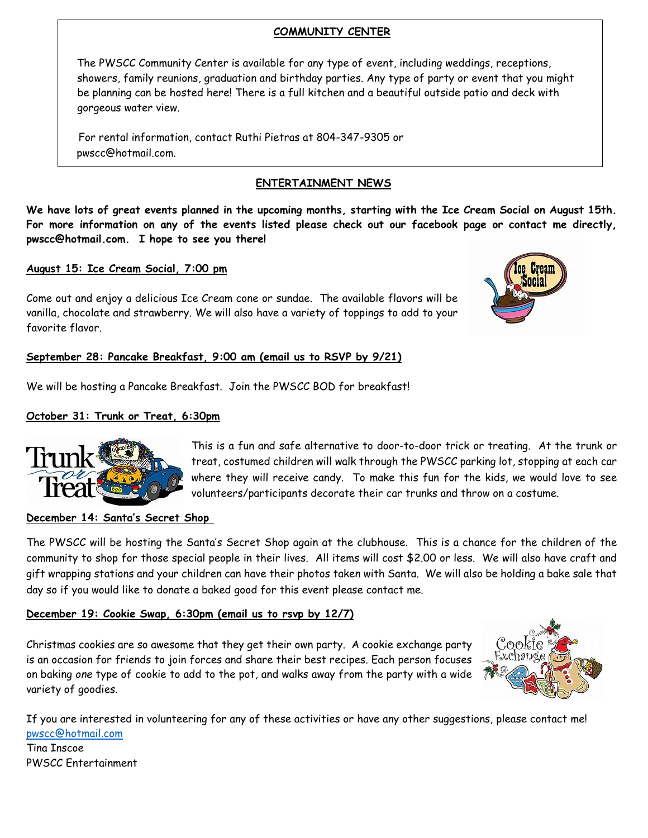#### **COMMUNITY CENTER**

The PWSCC Community Center is available for any type of event, including weddings, receptions, showers, family reunions, graduation and birthday parties. Any type of party or event that you might be planning can be hosted here! There is a full kitchen and a beautiful outside patio and deck with gorgeous water view.

For rental information, contact Ruthi Pietras at 804-347-9305 or pwscc@hotmail.com.

### **ENTERTAINMENT NEWS**

**We have lots of great events planned in the upcoming months, starting with the Ice Cream Social on August 15th. For more information on any of the events listed please check out our facebook page or contact me directly, pwscc@hotmail.com. I hope to see you there!** 

### **August 15: Ice Cream Social, 7:00 pm**

Come out and enjoy a delicious Ice Cream cone or sundae. The available flavors will be vanilla, chocolate and strawberry. We will also have a variety of toppings to add to your favorite flavor.



### **September 28: Pancake Breakfast, 9:00 am (email us to RSVP by 9/21)**

We will be hosting a Pancake Breakfast. Join the PWSCC BOD for breakfast!

### **October 31: Trunk or Treat, 6:30pm**



This is a fun and safe alternative to door-to-door trick or treating. At the trunk or treat, costumed children will walk through the PWSCC parking lot, stopping at each car where they will receive candy. To make this fun for the kids, we would love to see volunteers/participants decorate their car trunks and throw on a costume.

#### **December 14: Santa's Secret Shop**

The PWSCC will be hosting the Santa's Secret Shop again at the clubhouse. This is a chance for the children of the community to shop for those special people in their lives. All items will cost \$2.00 or less. We will also have craft and gift wrapping stations and your children can have their photos taken with Santa. We will also be holding a bake sale that day so if you would like to donate a baked good for this event please contact me.

#### **December 19: Cookie Swap, 6:30pm (email us to rsvp by 12/7)**

Christmas cookies are so awesome that they get their own party. A cookie exchange party is an occasion for friends to join forces and share their best recipes. Each person focuses on baking *one* type of cookie to add to the pot, and walks away from the party with a wide variety of goodies.



If you are interested in volunteering for any of these activities or have any other suggestions, please contact me! [pwscc@hotmail.com](mailto:pwscc@hotmail.com) Tina Inscoe

PWSCC Entertainment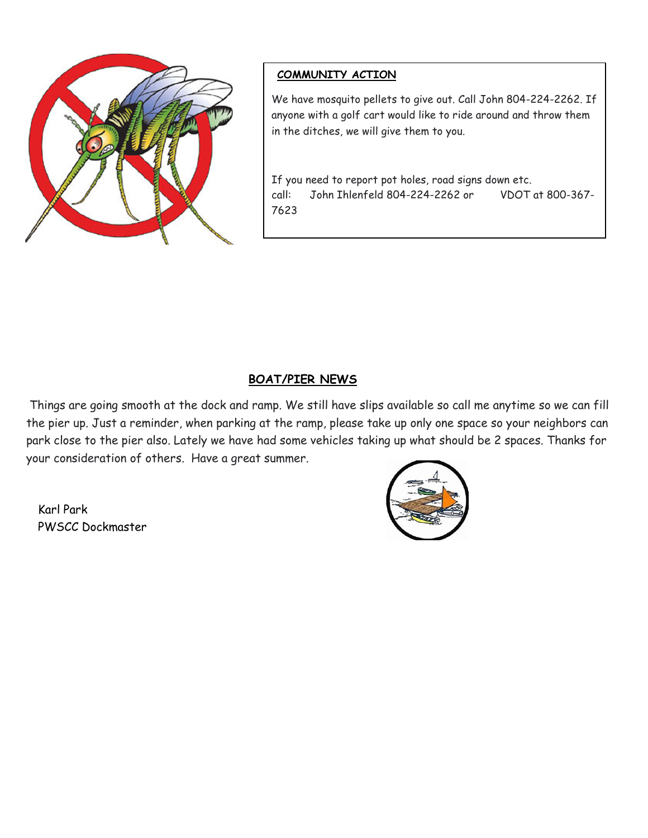

## **COMMUNITY ACTION**

We have mosquito pellets to give out. Call John 804-224-2262. If anyone with a golf cart would like to ride around and throw them in the ditches, we will give them to you.

If you need to report pot holes, road signs down etc. call: John Ihlenfeld 804-224-2262 or VDOT at 800-367- 7623

# **BOAT/PIER NEWS**

Things are going smooth at the dock and ramp. We still have slips available so call me anytime so we can fill the pier up. Just a reminder, when parking at the ramp, please take up only one space so your neighbors can park close to the pier also. Lately we have had some vehicles taking up what should be 2 spaces. Thanks for your consideration of others. Have a great summer.

Karl Park PWSCC Dockmaster

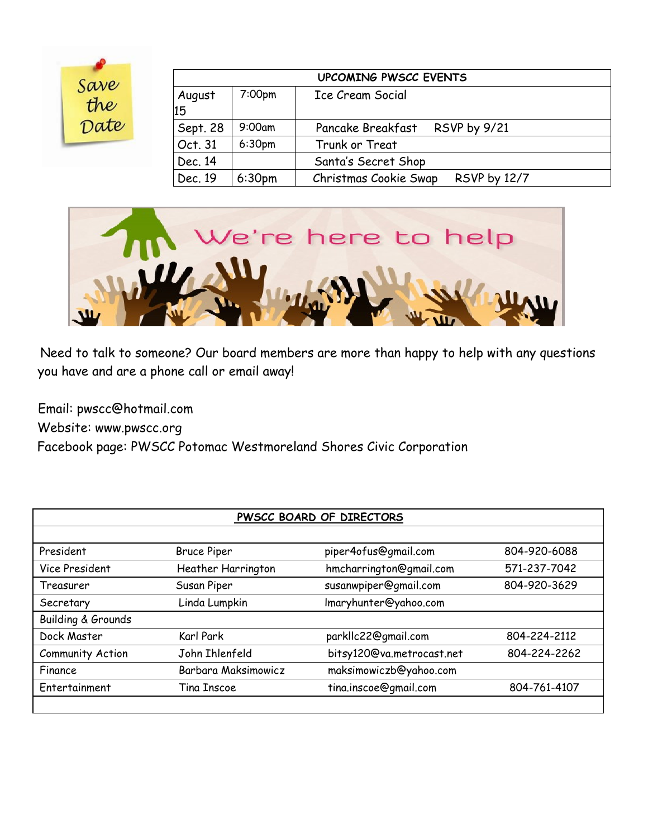| Save |  |
|------|--|
| the  |  |
| Date |  |

| <b>UPCOMING PWSCC EVENTS</b> |                    |                                              |  |  |  |  |
|------------------------------|--------------------|----------------------------------------------|--|--|--|--|
| August                       | 7:00 <sub>pm</sub> | Ice Cream Social                             |  |  |  |  |
| 15                           |                    |                                              |  |  |  |  |
| Sept. 28                     | $9:00$ am          | Pancake Breakfast<br><b>RSVP by 9/21</b>     |  |  |  |  |
| Oct. 31                      | 6:30 <sub>pm</sub> | Trunk or Treat                               |  |  |  |  |
| Dec. 14                      |                    | Santa's Secret Shop                          |  |  |  |  |
| Dec. 19                      | 6:30 <sub>pm</sub> | Christmas Cookie Swap<br><b>RSVP by 12/7</b> |  |  |  |  |



Need to talk to someone? Our board members are more than happy to help with any questions you have and are a phone call or email away!

Email: pwscc@hotmail.com Website: [www.pwscc.org](http://www.pwscc.org/)  Facebook page: PWSCC Potomac Westmoreland Shores Civic Corporation

| <b>PWSCC BOARD OF DIRECTORS</b> |                     |                           |              |  |  |  |  |
|---------------------------------|---------------------|---------------------------|--------------|--|--|--|--|
|                                 |                     |                           |              |  |  |  |  |
| President                       | <b>Bruce Piper</b>  | piper4ofus@gmail.com      | 804-920-6088 |  |  |  |  |
| Vice President                  | Heather Harrington  | hmcharrington@gmail.com   |              |  |  |  |  |
| Treasurer                       | Susan Piper         | susanwpiper@gmail.com     | 804-920-3629 |  |  |  |  |
| Secretary                       | Linda Lumpkin       | Imaryhunter@yahoo.com     |              |  |  |  |  |
| <b>Building &amp; Grounds</b>   |                     |                           |              |  |  |  |  |
| Dock Master                     | Karl Park           | parkllc22@gmail.com       | 804-224-2112 |  |  |  |  |
| <b>Community Action</b>         | John Ihlenfeld      | bitsy120@va.metrocast.net |              |  |  |  |  |
| Finance                         | Barbara Maksimowicz | maksimowiczb@yahoo.com    |              |  |  |  |  |
| Entertainment                   | Tina Inscoe         | tina.inscoe@gmail.com     | 804-761-4107 |  |  |  |  |
|                                 |                     |                           |              |  |  |  |  |